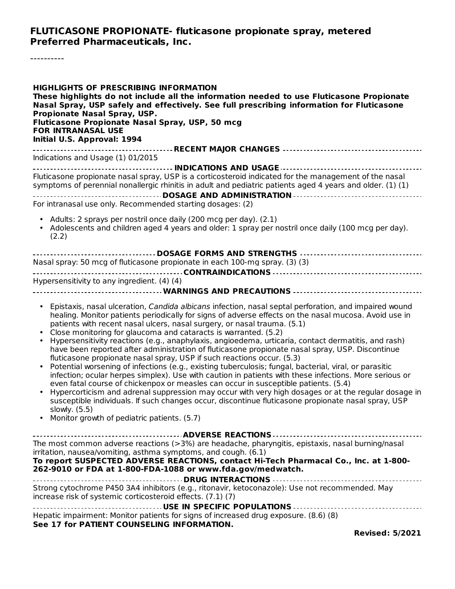## **FLUTICASONE PROPIONATE- fluticasone propionate spray, metered Preferred Pharmaceuticals, Inc.**

----------

| <b>HIGHLIGHTS OF PRESCRIBING INFORMATION</b><br>These highlights do not include all the information needed to use Fluticasone Propionate<br>Nasal Spray, USP safely and effectively. See full prescribing information for Fluticasone<br>Propionate Nasal Spray, USP.<br>Fluticasone Propionate Nasal Spray, USP, 50 mcg<br><b>FOR INTRANASAL USE</b><br>Initial U.S. Approval: 1994                                                                                                                                                                                                                                                                                                                                                                                                                                                                                                                                                                                                                                                                                                                                                                                                                                                                    |
|---------------------------------------------------------------------------------------------------------------------------------------------------------------------------------------------------------------------------------------------------------------------------------------------------------------------------------------------------------------------------------------------------------------------------------------------------------------------------------------------------------------------------------------------------------------------------------------------------------------------------------------------------------------------------------------------------------------------------------------------------------------------------------------------------------------------------------------------------------------------------------------------------------------------------------------------------------------------------------------------------------------------------------------------------------------------------------------------------------------------------------------------------------------------------------------------------------------------------------------------------------|
| Indications and Usage (1) 01/2015                                                                                                                                                                                                                                                                                                                                                                                                                                                                                                                                                                                                                                                                                                                                                                                                                                                                                                                                                                                                                                                                                                                                                                                                                       |
| --------------------------------- INDICATIONS AND USAGE -------------------------------<br>Fluticasone propionate nasal spray, USP is a corticosteroid indicated for the management of the nasal<br>symptoms of perennial nonallergic rhinitis in adult and pediatric patients aged 4 years and older. (1) (1)<br>For intranasal use only. Recommended starting dosages: (2)                                                                                                                                                                                                                                                                                                                                                                                                                                                                                                                                                                                                                                                                                                                                                                                                                                                                            |
| Adults: 2 sprays per nostril once daily (200 mcg per day). (2.1)<br>Adolescents and children aged 4 years and older: 1 spray per nostril once daily (100 mcg per day).<br>(2.2)                                                                                                                                                                                                                                                                                                                                                                                                                                                                                                                                                                                                                                                                                                                                                                                                                                                                                                                                                                                                                                                                         |
| Nasal spray: 50 mcg of fluticasone propionate in each 100-mg spray. (3) (3)                                                                                                                                                                                                                                                                                                                                                                                                                                                                                                                                                                                                                                                                                                                                                                                                                                                                                                                                                                                                                                                                                                                                                                             |
| Hypersensitivity to any ingredient. (4) (4)                                                                                                                                                                                                                                                                                                                                                                                                                                                                                                                                                                                                                                                                                                                                                                                                                                                                                                                                                                                                                                                                                                                                                                                                             |
| Epistaxis, nasal ulceration, Candida albicans infection, nasal septal perforation, and impaired wound<br>$\bullet$<br>healing. Monitor patients periodically for signs of adverse effects on the nasal mucosa. Avoid use in<br>patients with recent nasal ulcers, nasal surgery, or nasal trauma. (5.1)<br>Close monitoring for glaucoma and cataracts is warranted. (5.2)<br>Hypersensitivity reactions (e.g., anaphylaxis, angioedema, urticaria, contact dermatitis, and rash)<br>have been reported after administration of fluticasone propionate nasal spray, USP. Discontinue<br>fluticasone propionate nasal spray, USP if such reactions occur. (5.3)<br>Potential worsening of infections (e.g., existing tuberculosis; fungal, bacterial, viral, or parasitic<br>infection; ocular herpes simplex). Use with caution in patients with these infections. More serious or<br>even fatal course of chickenpox or measles can occur in susceptible patients. (5.4)<br>Hypercorticism and adrenal suppression may occur with very high dosages or at the regular dosage in<br>susceptible individuals. If such changes occur, discontinue fluticasone propionate nasal spray, USP<br>slowly. (5.5)<br>Monitor growth of pediatric patients. (5.7) |
| The most common adverse reactions (>3%) are headache, pharyngitis, epistaxis, nasal burning/nasal<br>irritation, nausea/vomiting, asthma symptoms, and cough. (6.1)<br>To report SUSPECTED ADVERSE REACTIONS, contact Hi-Tech Pharmacal Co., Inc. at 1-800-<br>262-9010 or FDA at 1-800-FDA-1088 or www.fda.gov/medwatch.<br>Strong cytochrome P450 3A4 inhibitors (e.g., ritonavir, ketoconazole): Use not recommended. May                                                                                                                                                                                                                                                                                                                                                                                                                                                                                                                                                                                                                                                                                                                                                                                                                            |
| increase risk of systemic corticosteroid effects. (7.1) (7)<br>Hepatic impairment: Monitor patients for signs of increased drug exposure. (8.6) (8)<br>See 17 for PATIENT COUNSELING INFORMATION.                                                                                                                                                                                                                                                                                                                                                                                                                                                                                                                                                                                                                                                                                                                                                                                                                                                                                                                                                                                                                                                       |
| <b>Revised: 5/2021</b>                                                                                                                                                                                                                                                                                                                                                                                                                                                                                                                                                                                                                                                                                                                                                                                                                                                                                                                                                                                                                                                                                                                                                                                                                                  |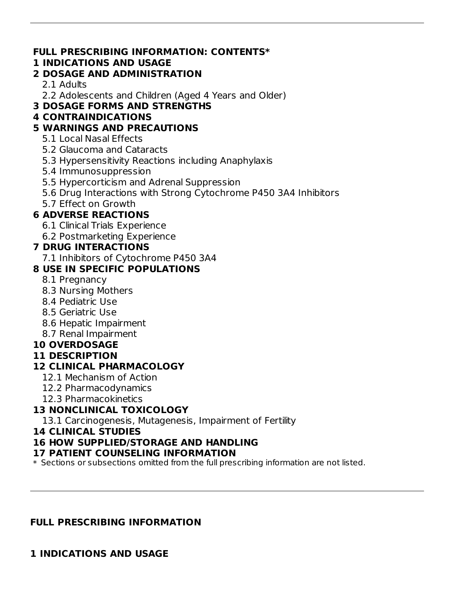### **FULL PRESCRIBING INFORMATION: CONTENTS\***

### **1 INDICATIONS AND USAGE**

## **2 DOSAGE AND ADMINISTRATION**

- 2.1 Adults
- 2.2 Adolescents and Children (Aged 4 Years and Older)
- **3 DOSAGE FORMS AND STRENGTHS**

## **4 CONTRAINDICATIONS**

## **5 WARNINGS AND PRECAUTIONS**

- 5.1 Local Nasal Effects
- 5.2 Glaucoma and Cataracts
- 5.3 Hypersensitivity Reactions including Anaphylaxis
- 5.4 Immunosuppression
- 5.5 Hypercorticism and Adrenal Suppression
- 5.6 Drug Interactions with Strong Cytochrome P450 3A4 Inhibitors
- 5.7 Effect on Growth

# **6 ADVERSE REACTIONS**

- 6.1 Clinical Trials Experience
- 6.2 Postmarketing Experience

## **7 DRUG INTERACTIONS**

7.1 Inhibitors of Cytochrome P450 3A4

# **8 USE IN SPECIFIC POPULATIONS**

- 8.1 Pregnancy
- 8.3 Nursing Mothers
- 8.4 Pediatric Use
- 8.5 Geriatric Use
- 8.6 Hepatic Impairment
- 8.7 Renal Impairment

## **10 OVERDOSAGE**

## **11 DESCRIPTION**

# **12 CLINICAL PHARMACOLOGY**

- 12.1 Mechanism of Action
- 12.2 Pharmacodynamics
- 12.3 Pharmacokinetics

# **13 NONCLINICAL TOXICOLOGY**

13.1 Carcinogenesis, Mutagenesis, Impairment of Fertility

### **14 CLINICAL STUDIES**

## **16 HOW SUPPLIED/STORAGE AND HANDLING**

### **17 PATIENT COUNSELING INFORMATION**

\* Sections or subsections omitted from the full prescribing information are not listed.

## **FULL PRESCRIBING INFORMATION**

**1 INDICATIONS AND USAGE**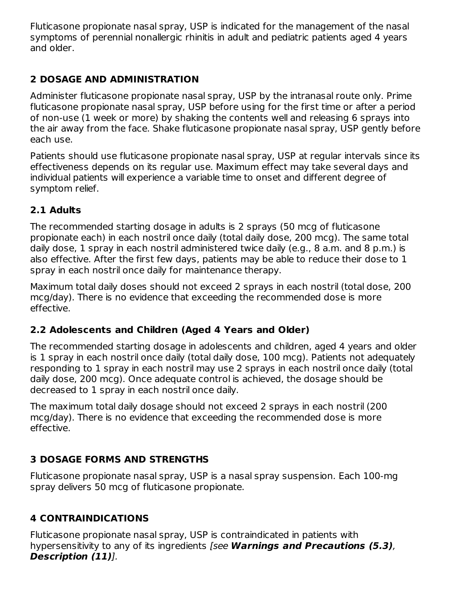Fluticasone propionate nasal spray, USP is indicated for the management of the nasal symptoms of perennial nonallergic rhinitis in adult and pediatric patients aged 4 years and older.

# **2 DOSAGE AND ADMINISTRATION**

Administer fluticasone propionate nasal spray, USP by the intranasal route only. Prime fluticasone propionate nasal spray, USP before using for the first time or after a period of non-use (1 week or more) by shaking the contents well and releasing 6 sprays into the air away from the face. Shake fluticasone propionate nasal spray, USP gently before each use.

Patients should use fluticasone propionate nasal spray, USP at regular intervals since its effectiveness depends on its regular use. Maximum effect may take several days and individual patients will experience a variable time to onset and different degree of symptom relief.

# **2.1 Adults**

The recommended starting dosage in adults is 2 sprays (50 mcg of fluticasone propionate each) in each nostril once daily (total daily dose, 200 mcg). The same total daily dose, 1 spray in each nostril administered twice daily (e.g., 8 a.m. and 8 p.m.) is also effective. After the first few days, patients may be able to reduce their dose to 1 spray in each nostril once daily for maintenance therapy.

Maximum total daily doses should not exceed 2 sprays in each nostril (total dose, 200 mcg/day). There is no evidence that exceeding the recommended dose is more effective.

# **2.2 Adolescents and Children (Aged 4 Years and Older)**

The recommended starting dosage in adolescents and children, aged 4 years and older is 1 spray in each nostril once daily (total daily dose, 100 mcg). Patients not adequately responding to 1 spray in each nostril may use 2 sprays in each nostril once daily (total daily dose, 200 mcg). Once adequate control is achieved, the dosage should be decreased to 1 spray in each nostril once daily.

The maximum total daily dosage should not exceed 2 sprays in each nostril (200 mcg/day). There is no evidence that exceeding the recommended dose is more effective.

# **3 DOSAGE FORMS AND STRENGTHS**

Fluticasone propionate nasal spray, USP is a nasal spray suspension. Each 100-mg spray delivers 50 mcg of fluticasone propionate.

# **4 CONTRAINDICATIONS**

Fluticasone propionate nasal spray, USP is contraindicated in patients with hypersensitivity to any of its ingredients [see **Warnings and Precautions (5.3)**, **Description (11)**].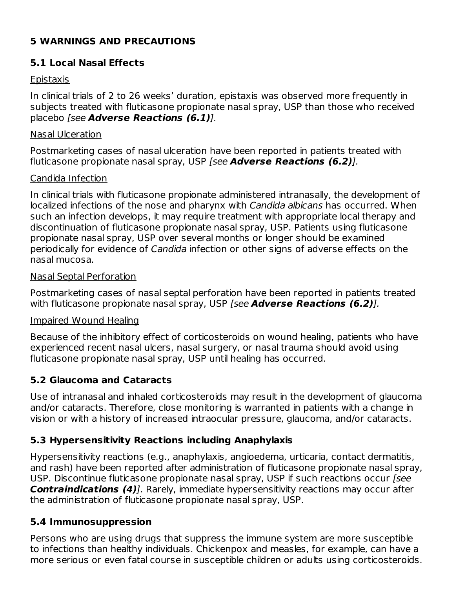## **5 WARNINGS AND PRECAUTIONS**

## **5.1 Local Nasal Effects**

### Epistaxis

In clinical trials of 2 to 26 weeks' duration, epistaxis was observed more frequently in subjects treated with fluticasone propionate nasal spray, USP than those who received placebo [see **Adverse Reactions (6.1)**].

### Nasal Ulceration

Postmarketing cases of nasal ulceration have been reported in patients treated with fluticasone propionate nasal spray, USP [see **Adverse Reactions (6.2)**].

### Candida Infection

In clinical trials with fluticasone propionate administered intranasally, the development of localized infections of the nose and pharynx with Candida albicans has occurred. When such an infection develops, it may require treatment with appropriate local therapy and discontinuation of fluticasone propionate nasal spray, USP. Patients using fluticasone propionate nasal spray, USP over several months or longer should be examined periodically for evidence of Candida infection or other signs of adverse effects on the nasal mucosa.

#### Nasal Septal Perforation

Postmarketing cases of nasal septal perforation have been reported in patients treated with fluticasone propionate nasal spray, USP [see **Adverse Reactions (6.2)**].

### Impaired Wound Healing

Because of the inhibitory effect of corticosteroids on wound healing, patients who have experienced recent nasal ulcers, nasal surgery, or nasal trauma should avoid using fluticasone propionate nasal spray, USP until healing has occurred.

## **5.2 Glaucoma and Cataracts**

Use of intranasal and inhaled corticosteroids may result in the development of glaucoma and/or cataracts. Therefore, close monitoring is warranted in patients with a change in vision or with a history of increased intraocular pressure, glaucoma, and/or cataracts.

## **5.3 Hypersensitivity Reactions including Anaphylaxis**

Hypersensitivity reactions (e.g., anaphylaxis, angioedema, urticaria, contact dermatitis, and rash) have been reported after administration of fluticasone propionate nasal spray, USP. Discontinue fluticasone propionate nasal spray, USP if such reactions occur [see **Contraindications (4)**]. Rarely, immediate hypersensitivity reactions may occur after the administration of fluticasone propionate nasal spray, USP.

## **5.4 Immunosuppression**

Persons who are using drugs that suppress the immune system are more susceptible to infections than healthy individuals. Chickenpox and measles, for example, can have a more serious or even fatal course in susceptible children or adults using corticosteroids.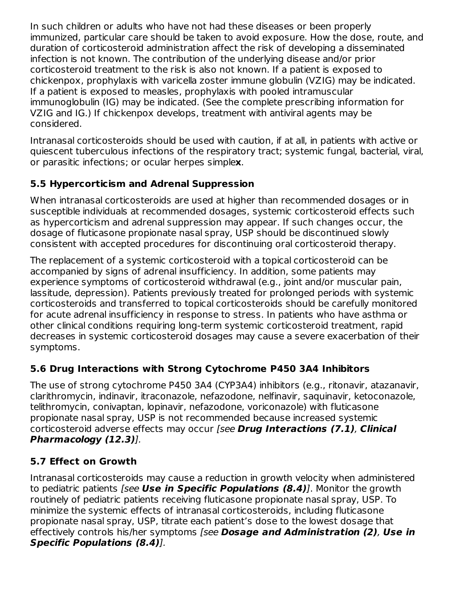In such children or adults who have not had these diseases or been properly immunized, particular care should be taken to avoid exposure. How the dose, route, and duration of corticosteroid administration affect the risk of developing a disseminated infection is not known. The contribution of the underlying disease and/or prior corticosteroid treatment to the risk is also not known. If a patient is exposed to chickenpox, prophylaxis with varicella zoster immune globulin (VZIG) may be indicated. If a patient is exposed to measles, prophylaxis with pooled intramuscular immunoglobulin (IG) may be indicated. (See the complete prescribing information for VZIG and IG.) If chickenpox develops, treatment with antiviral agents may be considered.

Intranasal corticosteroids should be used with caution, if at all, in patients with active or quiescent tuberculous infections of the respiratory tract; systemic fungal, bacterial, viral, or parasitic infections; or ocular herpes simple**x**.

# **5.5 Hypercorticism and Adrenal Suppression**

When intranasal corticosteroids are used at higher than recommended dosages or in susceptible individuals at recommended dosages, systemic corticosteroid effects such as hypercorticism and adrenal suppression may appear. If such changes occur, the dosage of fluticasone propionate nasal spray, USP should be discontinued slowly consistent with accepted procedures for discontinuing oral corticosteroid therapy.

The replacement of a systemic corticosteroid with a topical corticosteroid can be accompanied by signs of adrenal insufficiency. In addition, some patients may experience symptoms of corticosteroid withdrawal (e.g., joint and/or muscular pain, lassitude, depression). Patients previously treated for prolonged periods with systemic corticosteroids and transferred to topical corticosteroids should be carefully monitored for acute adrenal insufficiency in response to stress. In patients who have asthma or other clinical conditions requiring long-term systemic corticosteroid treatment, rapid decreases in systemic corticosteroid dosages may cause a severe exacerbation of their symptoms.

# **5.6 Drug Interactions with Strong Cytochrome P450 3A4 Inhibitors**

The use of strong cytochrome P450 3A4 (CYP3A4) inhibitors (e.g., ritonavir, atazanavir, clarithromycin, indinavir, itraconazole, nefazodone, nelfinavir, saquinavir, ketoconazole, telithromycin, conivaptan, lopinavir, nefazodone, voriconazole) with fluticasone propionate nasal spray, USP is not recommended because increased systemic corticosteroid adverse effects may occur [see **Drug Interactions (7.1)**, **Clinical Pharmacology (12.3)**].

# **5.7 Effect on Growth**

Intranasal corticosteroids may cause a reduction in growth velocity when administered to pediatric patients [see **Use in Specific Populations (8.4)**]. Monitor the growth routinely of pediatric patients receiving fluticasone propionate nasal spray, USP. To minimize the systemic effects of intranasal corticosteroids, including fluticasone propionate nasal spray, USP, titrate each patient's dose to the lowest dosage that effectively controls his/her symptoms [see **Dosage and Administration (2)**, **Use in Specific Populations (8.4)**].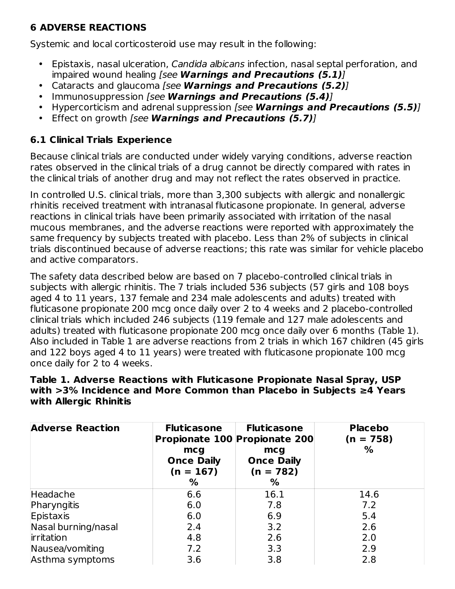# **6 ADVERSE REACTIONS**

Systemic and local corticosteroid use may result in the following:

- Epistaxis, nasal ulceration, Candida albicans infection, nasal septal perforation, and impaired wound healing [see **Warnings and Precautions (5.1)**]
- Cataracts and glaucoma [see **Warnings and Precautions (5.2)**]
- Immunosuppression [see **Warnings and Precautions (5.4)**]
- $\bullet$ Hypercorticism and adrenal suppression [see **Warnings and Precautions (5.5)**]
- Effect on growth [see **Warnings and Precautions (5.7)**]

## **6.1 Clinical Trials Experience**

Because clinical trials are conducted under widely varying conditions, adverse reaction rates observed in the clinical trials of a drug cannot be directly compared with rates in the clinical trials of another drug and may not reflect the rates observed in practice.

In controlled U.S. clinical trials, more than 3,300 subjects with allergic and nonallergic rhinitis received treatment with intranasal fluticasone propionate. In general, adverse reactions in clinical trials have been primarily associated with irritation of the nasal mucous membranes, and the adverse reactions were reported with approximately the same frequency by subjects treated with placebo. Less than 2% of subjects in clinical trials discontinued because of adverse reactions; this rate was similar for vehicle placebo and active comparators.

The safety data described below are based on 7 placebo-controlled clinical trials in subjects with allergic rhinitis. The 7 trials included 536 subjects (57 girls and 108 boys aged 4 to 11 years, 137 female and 234 male adolescents and adults) treated with fluticasone propionate 200 mcg once daily over 2 to 4 weeks and 2 placebo-controlled clinical trials which included 246 subjects (119 female and 127 male adolescents and adults) treated with fluticasone propionate 200 mcg once daily over 6 months (Table 1). Also included in Table 1 are adverse reactions from 2 trials in which 167 children (45 girls and 122 boys aged 4 to 11 years) were treated with fluticasone propionate 100 mcg once daily for 2 to 4 weeks.

#### **Table 1. Adverse Reactions with Fluticasone Propionate Nasal Spray, USP with >3% Incidence and More Common than Placebo in Subjects ≥4 Years with Allergic Rhinitis**

| <b>Adverse Reaction</b>         | <b>Fluticasone</b><br>Propionate 100 Propionate 200<br>mcg<br><b>Once Daily</b><br>$(n = 167)$<br>% | <b>Fluticasone</b><br>mcg<br><b>Once Daily</b><br>$(n = 782)$<br>% | <b>Placebo</b><br>$(n = 758)$<br>% |
|---------------------------------|-----------------------------------------------------------------------------------------------------|--------------------------------------------------------------------|------------------------------------|
| Headache                        | 6.6                                                                                                 | 16.1                                                               | 14.6                               |
| Pharyngitis                     | 6.0                                                                                                 | 7.8                                                                | 7.2                                |
| Epistaxis                       | 6.0                                                                                                 | 6.9                                                                | 5.4                                |
| Nasal burning/nasal             | 2.4                                                                                                 | 3.2                                                                | 2.6                                |
| <i><u><b>Irritation</b></u></i> | 4.8                                                                                                 | 2.6                                                                | 2.0                                |
| Nausea/vomiting                 | 7.2                                                                                                 | 3.3                                                                | 2.9                                |
| Asthma symptoms                 | 3.6                                                                                                 | 3.8                                                                | 2.8                                |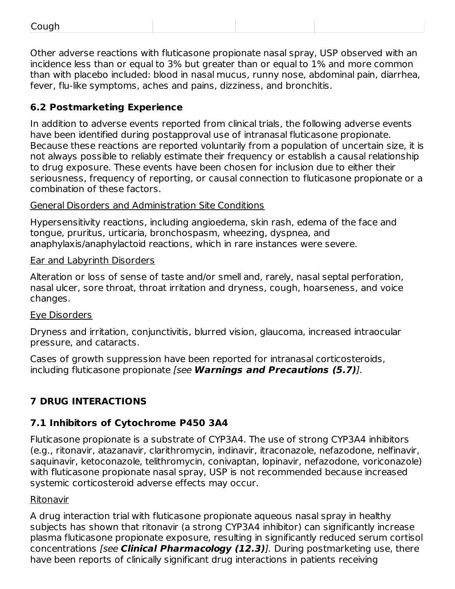| $\overline{\phantom{m}}$<br>`ouah<br>cought. |  |  |
|----------------------------------------------|--|--|
|                                              |  |  |

Other adverse reactions with fluticasone propionate nasal spray, USP observed with an incidence less than or equal to 3% but greater than or equal to 1% and more common than with placebo included: blood in nasal mucus, runny nose, abdominal pain, diarrhea, fever, flu-like symptoms, aches and pains, dizziness, and bronchitis.

# **6.2 Postmarketing Experience**

In addition to adverse events reported from clinical trials, the following adverse events have been identified during postapproval use of intranasal fluticasone propionate. Because these reactions are reported voluntarily from a population of uncertain size, it is not always possible to reliably estimate their frequency or establish a causal relationship to drug exposure. These events have been chosen for inclusion due to either their seriousness, frequency of reporting, or causal connection to fluticasone propionate or a combination of these factors.

### General Disorders and Administration Site Conditions

Hypersensitivity reactions, including angioedema, skin rash, edema of the face and tongue, pruritus, urticaria, bronchospasm, wheezing, dyspnea, and anaphylaxis/anaphylactoid reactions, which in rare instances were severe.

### Ear and Labyrinth Disorders

Alteration or loss of sense of taste and/or smell and, rarely, nasal septal perforation, nasal ulcer, sore throat, throat irritation and dryness, cough, hoarseness, and voice changes.

### Eye Disorders

Dryness and irritation, conjunctivitis, blurred vision, glaucoma, increased intraocular pressure, and cataracts.

Cases of growth suppression have been reported for intranasal corticosteroids, including fluticasone propionate [see **Warnings and Precautions (5.7)**].

# **7 DRUG INTERACTIONS**

# **7.1 Inhibitors of Cytochrome P450 3A4**

Fluticasone propionate is a substrate of CYP3A4. The use of strong CYP3A4 inhibitors (e.g., ritonavir, atazanavir, clarithromycin, indinavir, itraconazole, nefazodone, nelfinavir, saquinavir, ketoconazole, telithromycin, conivaptan, lopinavir, nefazodone, voriconazole) with fluticasone propionate nasal spray, USP is not recommended because increased systemic corticosteroid adverse effects may occur.

### Ritonavir

A drug interaction trial with fluticasone propionate aqueous nasal spray in healthy subjects has shown that ritonavir (a strong CYP3A4 inhibitor) can significantly increase plasma fluticasone propionate exposure, resulting in significantly reduced serum cortisol concentrations [see **Clinical Pharmacology (12.3)**]. During postmarketing use, there have been reports of clinically significant drug interactions in patients receiving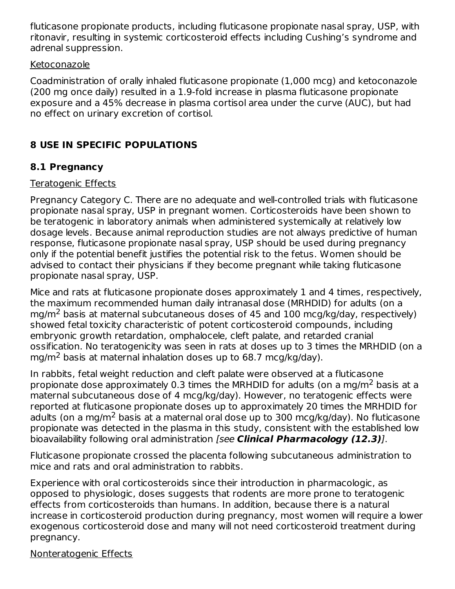fluticasone propionate products, including fluticasone propionate nasal spray, USP, with ritonavir, resulting in systemic corticosteroid effects including Cushing's syndrome and adrenal suppression.

#### **Ketoconazole**

Coadministration of orally inhaled fluticasone propionate (1,000 mcg) and ketoconazole (200 mg once daily) resulted in a 1.9-fold increase in plasma fluticasone propionate exposure and a 45% decrease in plasma cortisol area under the curve (AUC), but had no effect on urinary excretion of cortisol.

## **8 USE IN SPECIFIC POPULATIONS**

## **8.1 Pregnancy**

### Teratogenic Effects

Pregnancy Category C. There are no adequate and well-controlled trials with fluticasone propionate nasal spray, USP in pregnant women. Corticosteroids have been shown to be teratogenic in laboratory animals when administered systemically at relatively low dosage levels. Because animal reproduction studies are not always predictive of human response, fluticasone propionate nasal spray, USP should be used during pregnancy only if the potential benefit justifies the potential risk to the fetus. Women should be advised to contact their physicians if they become pregnant while taking fluticasone propionate nasal spray, USP.

Mice and rats at fluticasone propionate doses approximately 1 and 4 times, respectively, the maximum recommended human daily intranasal dose (MRHDID) for adults (on a mg/m<sup>2</sup> basis at maternal subcutaneous doses of 45 and 100 mcg/kg/day, respectively) showed fetal toxicity characteristic of potent corticosteroid compounds, including embryonic growth retardation, omphalocele, cleft palate, and retarded cranial ossification. No teratogenicity was seen in rats at doses up to 3 times the MRHDID (on a mg/m<sup>2</sup> basis at maternal inhalation doses up to 68.7 mcg/kg/day).

In rabbits, fetal weight reduction and cleft palate were observed at a fluticasone propionate dose approximately 0.3 times the MRHDID for adults (on a mg/m<sup>2</sup> basis at a maternal subcutaneous dose of 4 mcg/kg/day). However, no teratogenic effects were reported at fluticasone propionate doses up to approximately 20 times the MRHDID for adults (on a mg/m<sup>2</sup> basis at a maternal oral dose up to 300 mcg/kg/day). No fluticasone propionate was detected in the plasma in this study, consistent with the established low bioavailability following oral administration [see **Clinical Pharmacology (12.3)**].

Fluticasone propionate crossed the placenta following subcutaneous administration to mice and rats and oral administration to rabbits.

Experience with oral corticosteroids since their introduction in pharmacologic, as opposed to physiologic, doses suggests that rodents are more prone to teratogenic effects from corticosteroids than humans. In addition, because there is a natural increase in corticosteroid production during pregnancy, most women will require a lower exogenous corticosteroid dose and many will not need corticosteroid treatment during pregnancy.

Nonteratogenic Effects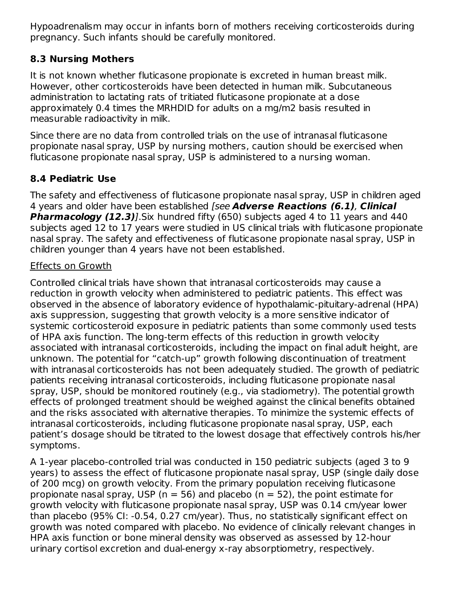Hypoadrenalism may occur in infants born of mothers receiving corticosteroids during pregnancy. Such infants should be carefully monitored.

## **8.3 Nursing Mothers**

It is not known whether fluticasone propionate is excreted in human breast milk. However, other corticosteroids have been detected in human milk. Subcutaneous administration to lactating rats of tritiated fluticasone propionate at a dose approximately 0.4 times the MRHDID for adults on a mg/m2 basis resulted in measurable radioactivity in milk.

Since there are no data from controlled trials on the use of intranasal fluticasone propionate nasal spray, USP by nursing mothers, caution should be exercised when fluticasone propionate nasal spray, USP is administered to a nursing woman.

## **8.4 Pediatric Use**

The safety and effectiveness of fluticasone propionate nasal spray, USP in children aged 4 years and older have been established [see **Adverse Reactions (6.1)**, **Clinical Pharmacology (12.3)**]. Six hundred fifty (650) subjects aged 4 to 11 years and 440 subjects aged 12 to 17 years were studied in US clinical trials with fluticasone propionate nasal spray. The safety and effectiveness of fluticasone propionate nasal spray, USP in children younger than 4 years have not been established.

### Effects on Growth

Controlled clinical trials have shown that intranasal corticosteroids may cause a reduction in growth velocity when administered to pediatric patients. This effect was observed in the absence of laboratory evidence of hypothalamic-pituitary-adrenal (HPA) axis suppression, suggesting that growth velocity is a more sensitive indicator of systemic corticosteroid exposure in pediatric patients than some commonly used tests of HPA axis function. The long-term effects of this reduction in growth velocity associated with intranasal corticosteroids, including the impact on final adult height, are unknown. The potential for "catch-up" growth following discontinuation of treatment with intranasal corticosteroids has not been adequately studied. The growth of pediatric patients receiving intranasal corticosteroids, including fluticasone propionate nasal spray, USP, should be monitored routinely (e.g., via stadiometry). The potential growth effects of prolonged treatment should be weighed against the clinical benefits obtained and the risks associated with alternative therapies. To minimize the systemic effects of intranasal corticosteroids, including fluticasone propionate nasal spray, USP, each patient's dosage should be titrated to the lowest dosage that effectively controls his/her symptoms.

A 1-year placebo-controlled trial was conducted in 150 pediatric subjects (aged 3 to 9 years) to assess the effect of fluticasone propionate nasal spray, USP (single daily dose of 200 mcg) on growth velocity. From the primary population receiving fluticasone propionate nasal spray, USP ( $n = 56$ ) and placebo ( $n = 52$ ), the point estimate for growth velocity with fluticasone propionate nasal spray, USP was 0.14 cm/year lower than placebo (95% CI: -0.54, 0.27 cm/year). Thus, no statistically significant effect on growth was noted compared with placebo. No evidence of clinically relevant changes in HPA axis function or bone mineral density was observed as assessed by 12-hour urinary cortisol excretion and dual-energy x-ray absorptiometry, respectively.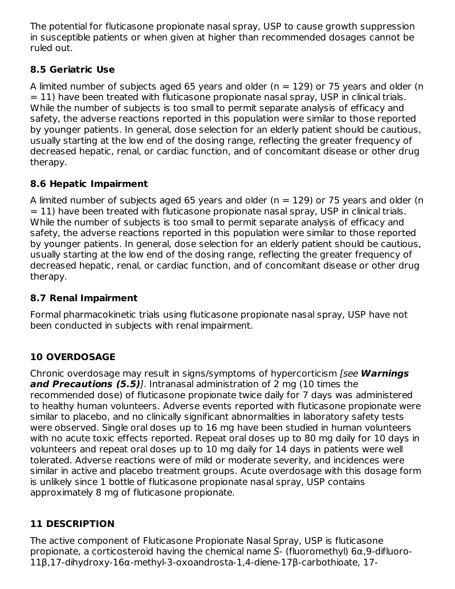The potential for fluticasone propionate nasal spray, USP to cause growth suppression in susceptible patients or when given at higher than recommended dosages cannot be ruled out.

# **8.5 Geriatric Use**

A limited number of subjects aged 65 years and older ( $n = 129$ ) or 75 years and older (n  $= 11$ ) have been treated with fluticasone propionate nasal spray, USP in clinical trials. While the number of subjects is too small to permit separate analysis of efficacy and safety, the adverse reactions reported in this population were similar to those reported by younger patients. In general, dose selection for an elderly patient should be cautious, usually starting at the low end of the dosing range, reflecting the greater frequency of decreased hepatic, renal, or cardiac function, and of concomitant disease or other drug therapy.

# **8.6 Hepatic Impairment**

A limited number of subjects aged 65 years and older ( $n = 129$ ) or 75 years and older (n  $= 11$ ) have been treated with fluticasone propionate nasal spray, USP in clinical trials. While the number of subjects is too small to permit separate analysis of efficacy and safety, the adverse reactions reported in this population were similar to those reported by younger patients. In general, dose selection for an elderly patient should be cautious, usually starting at the low end of the dosing range, reflecting the greater frequency of decreased hepatic, renal, or cardiac function, and of concomitant disease or other drug therapy.

# **8.7 Renal Impairment**

Formal pharmacokinetic trials using fluticasone propionate nasal spray, USP have not been conducted in subjects with renal impairment.

# **10 OVERDOSAGE**

Chronic overdosage may result in signs/symptoms of hypercorticism [see **Warnings and Precautions (5.5)**]. Intranasal administration of 2 mg (10 times the recommended dose) of fluticasone propionate twice daily for 7 days was administered to healthy human volunteers. Adverse events reported with fluticasone propionate were similar to placebo, and no clinically significant abnormalities in laboratory safety tests were observed. Single oral doses up to 16 mg have been studied in human volunteers with no acute toxic effects reported. Repeat oral doses up to 80 mg daily for 10 days in volunteers and repeat oral doses up to 10 mg daily for 14 days in patients were well tolerated. Adverse reactions were of mild or moderate severity, and incidences were similar in active and placebo treatment groups. Acute overdosage with this dosage form is unlikely since 1 bottle of fluticasone propionate nasal spray, USP contains approximately 8 mg of fluticasone propionate.

# **11 DESCRIPTION**

The active component of Fluticasone Propionate Nasal Spray, USP is fluticasone propionate, a corticosteroid having the chemical name S- (fluoromethyl) 6α,9-difluoro-11β,17-dihydroxy-16α-methyl-3-oxoandrosta-1,4-diene-17β-carbothioate, 17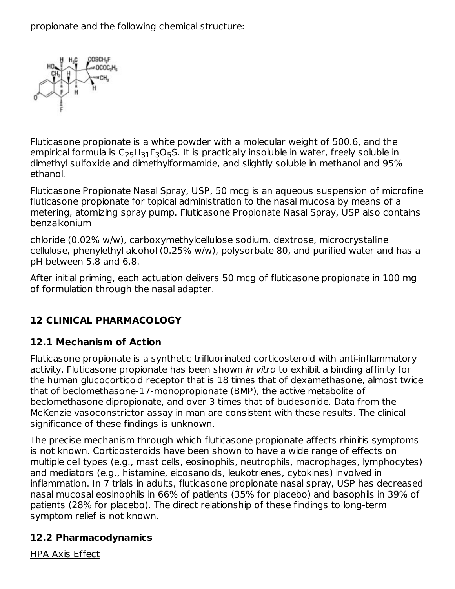propionate and the following chemical structure:



Fluticasone propionate is a white powder with a molecular weight of 500.6, and the empirical formula is  $\mathsf{C}_2$ 5H31F3O5S. It is practically insoluble in water, freely soluble in dimethyl sulfoxide and dimethylformamide, and slightly soluble in methanol and 95% ethanol.

Fluticasone Propionate Nasal Spray, USP, 50 mcg is an aqueous suspension of microfine fluticasone propionate for topical administration to the nasal mucosa by means of a metering, atomizing spray pump. Fluticasone Propionate Nasal Spray, USP also contains benzalkonium

chloride (0.02% w/w), carboxymethylcellulose sodium, dextrose, microcrystalline cellulose, phenylethyl alcohol (0.25% w/w), polysorbate 80, and purified water and has a pH between 5.8 and 6.8.

After initial priming, each actuation delivers 50 mcg of fluticasone propionate in 100 mg of formulation through the nasal adapter.

# **12 CLINICAL PHARMACOLOGY**

# **12.1 Mechanism of Action**

Fluticasone propionate is a synthetic trifluorinated corticosteroid with anti-inflammatory activity. Fluticasone propionate has been shown in vitro to exhibit a binding affinity for the human glucocorticoid receptor that is 18 times that of dexamethasone, almost twice that of beclomethasone-17-monopropionate (BMP), the active metabolite of beclomethasone dipropionate, and over 3 times that of budesonide. Data from the McKenzie vasoconstrictor assay in man are consistent with these results. The clinical significance of these findings is unknown.

The precise mechanism through which fluticasone propionate affects rhinitis symptoms is not known. Corticosteroids have been shown to have a wide range of effects on multiple cell types (e.g., mast cells, eosinophils, neutrophils, macrophages, lymphocytes) and mediators (e.g., histamine, eicosanoids, leukotrienes, cytokines) involved in inflammation. In 7 trials in adults, fluticasone propionate nasal spray, USP has decreased nasal mucosal eosinophils in 66% of patients (35% for placebo) and basophils in 39% of patients (28% for placebo). The direct relationship of these findings to long-term symptom relief is not known.

# **12.2 Pharmacodynamics**

HPA Axis Effect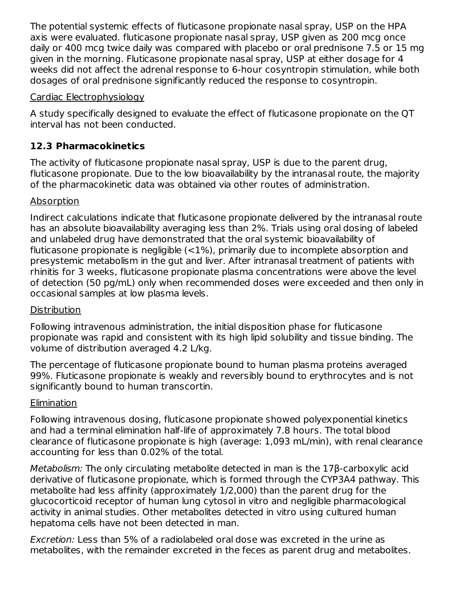The potential systemic effects of fluticasone propionate nasal spray, USP on the HPA axis were evaluated. fluticasone propionate nasal spray, USP given as 200 mcg once daily or 400 mcg twice daily was compared with placebo or oral prednisone 7.5 or 15 mg given in the morning. Fluticasone propionate nasal spray, USP at either dosage for 4 weeks did not affect the adrenal response to 6-hour cosyntropin stimulation, while both dosages of oral prednisone significantly reduced the response to cosyntropin.

### Cardiac Electrophysiology

A study specifically designed to evaluate the effect of fluticasone propionate on the QT interval has not been conducted.

# **12.3 Pharmacokinetics**

The activity of fluticasone propionate nasal spray, USP is due to the parent drug, fluticasone propionate. Due to the low bioavailability by the intranasal route, the majority of the pharmacokinetic data was obtained via other routes of administration.

# Absorption

Indirect calculations indicate that fluticasone propionate delivered by the intranasal route has an absolute bioavailability averaging less than 2%. Trials using oral dosing of labeled and unlabeled drug have demonstrated that the oral systemic bioavailability of fluticasone propionate is negligible (<1%), primarily due to incomplete absorption and presystemic metabolism in the gut and liver. After intranasal treatment of patients with rhinitis for 3 weeks, fluticasone propionate plasma concentrations were above the level of detection (50 pg/mL) only when recommended doses were exceeded and then only in occasional samples at low plasma levels.

## **Distribution**

Following intravenous administration, the initial disposition phase for fluticasone propionate was rapid and consistent with its high lipid solubility and tissue binding. The volume of distribution averaged 4.2 L/kg.

The percentage of fluticasone propionate bound to human plasma proteins averaged 99%. Fluticasone propionate is weakly and reversibly bound to erythrocytes and is not significantly bound to human transcortin.

# **Elimination**

Following intravenous dosing, fluticasone propionate showed polyexponential kinetics and had a terminal elimination half-life of approximately 7.8 hours. The total blood clearance of fluticasone propionate is high (average: 1,093 mL/min), with renal clearance accounting for less than 0.02% of the total.

Metabolism: The only circulating metabolite detected in man is the 17β-carboxylic acid derivative of fluticasone propionate, which is formed through the CYP3A4 pathway. This metabolite had less affinity (approximately 1/2,000) than the parent drug for the glucocorticoid receptor of human lung cytosol in vitro and negligible pharmacological activity in animal studies. Other metabolites detected in vitro using cultured human hepatoma cells have not been detected in man.

Excretion: Less than 5% of a radiolabeled oral dose was excreted in the urine as metabolites, with the remainder excreted in the feces as parent drug and metabolites.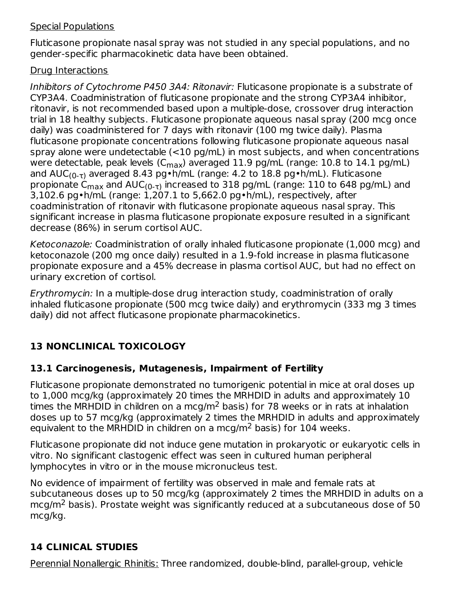### Special Populations

Fluticasone propionate nasal spray was not studied in any special populations, and no gender-specific pharmacokinetic data have been obtained.

## Drug Interactions

Inhibitors of Cytochrome P450 3A4: Ritonavir: Fluticasone propionate is a substrate of CYP3A4. Coadministration of fluticasone propionate and the strong CYP3A4 inhibitor, ritonavir, is not recommended based upon a multiple-dose, crossover drug interaction trial in 18 healthy subjects. Fluticasone propionate aqueous nasal spray (200 mcg once daily) was coadministered for 7 days with ritonavir (100 mg twice daily). Plasma fluticasone propionate concentrations following fluticasone propionate aqueous nasal spray alone were undetectable (<10 pg/mL) in most subjects, and when concentrations were detectable, peak levels (C $_{\sf max}$ ) averaged 11.9 pg/mL (range: 10.8 to 14.1 pg/mL) and AUC<sub>(0-τ)</sub> averaged 8.43 pg•h/mL (range: 4.2 to 18.8 pg•h/mL). Fluticasone propionate C<sub>max</sub> and AUC<sub>(0-τ)</sub> increased to 318 pg/mL (range: 110 to 648 pg/mL) and 3,102.6 pg•h/mL (range: 1,207.1 to 5,662.0 pg•h/mL), respectively, after coadministration of ritonavir with fluticasone propionate aqueous nasal spray. This significant increase in plasma fluticasone propionate exposure resulted in a significant decrease (86%) in serum cortisol AUC.

Ketoconazole: Coadministration of orally inhaled fluticasone propionate (1,000 mcg) and ketoconazole (200 mg once daily) resulted in a 1.9-fold increase in plasma fluticasone propionate exposure and a 45% decrease in plasma cortisol AUC, but had no effect on urinary excretion of cortisol.

Erythromycin: In a multiple-dose drug interaction study, coadministration of orally inhaled fluticasone propionate (500 mcg twice daily) and erythromycin (333 mg 3 times daily) did not affect fluticasone propionate pharmacokinetics.

# **13 NONCLINICAL TOXICOLOGY**

# **13.1 Carcinogenesis, Mutagenesis, Impairment of Fertility**

Fluticasone propionate demonstrated no tumorigenic potential in mice at oral doses up to 1,000 mcg/kg (approximately 20 times the MRHDID in adults and approximately 10 times the MRHDID in children on a mcg/m<sup>2</sup> basis) for 78 weeks or in rats at inhalation doses up to 57 mcg/kg (approximately 2 times the MRHDID in adults and approximately equivalent to the MRHDID in children on a mcg/m<sup>2</sup> basis) for 104 weeks.

Fluticasone propionate did not induce gene mutation in prokaryotic or eukaryotic cells in vitro. No significant clastogenic effect was seen in cultured human peripheral lymphocytes in vitro or in the mouse micronucleus test.

No evidence of impairment of fertility was observed in male and female rats at subcutaneous doses up to 50 mcg/kg (approximately 2 times the MRHDID in adults on a  $\rm{mc}$ g/m<sup>2</sup> basis). Prostate weight was significantly reduced at a subcutaneous dose of 50 mcg/kg.

# **14 CLINICAL STUDIES**

Perennial Nonallergic Rhinitis: Three randomized, double-blind, parallel-group, vehicle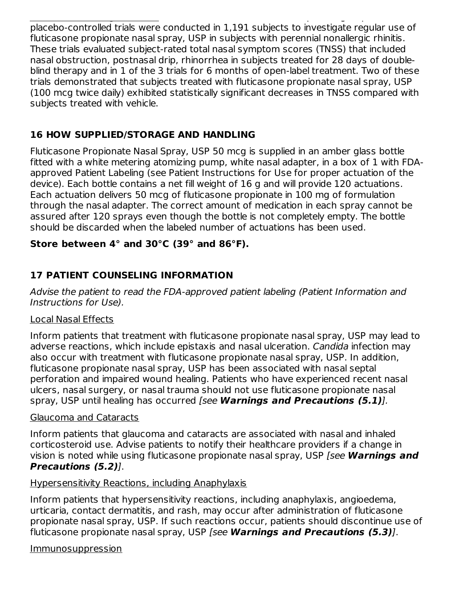Perennial Nonallergic Rhinitis: Three randomized, double-blind, parallel-group, vehicle placebo-controlled trials were conducted in 1,191 subjects to investigate regular use of fluticasone propionate nasal spray, USP in subjects with perennial nonallergic rhinitis. These trials evaluated subject-rated total nasal symptom scores (TNSS) that included nasal obstruction, postnasal drip, rhinorrhea in subjects treated for 28 days of doubleblind therapy and in 1 of the 3 trials for 6 months of open-label treatment. Two of these trials demonstrated that subjects treated with fluticasone propionate nasal spray, USP (100 mcg twice daily) exhibited statistically significant decreases in TNSS compared with subjects treated with vehicle.

### **16 HOW SUPPLIED/STORAGE AND HANDLING**

Fluticasone Propionate Nasal Spray, USP 50 mcg is supplied in an amber glass bottle fitted with a white metering atomizing pump, white nasal adapter, in a box of 1 with FDAapproved Patient Labeling (see Patient Instructions for Use for proper actuation of the device). Each bottle contains a net fill weight of 16 g and will provide 120 actuations. Each actuation delivers 50 mcg of fluticasone propionate in 100 mg of formulation through the nasal adapter. The correct amount of medication in each spray cannot be assured after 120 sprays even though the bottle is not completely empty. The bottle should be discarded when the labeled number of actuations has been used.

### **Store between 4° and 30°C (39° and 86°F).**

## **17 PATIENT COUNSELING INFORMATION**

Advise the patient to read the FDA-approved patient labeling (Patient Information and Instructions for Use).

### Local Nasal Effects

Inform patients that treatment with fluticasone propionate nasal spray, USP may lead to adverse reactions, which include epistaxis and nasal ulceration. Candida infection may also occur with treatment with fluticasone propionate nasal spray, USP. In addition, fluticasone propionate nasal spray, USP has been associated with nasal septal perforation and impaired wound healing. Patients who have experienced recent nasal ulcers, nasal surgery, or nasal trauma should not use fluticasone propionate nasal spray, USP until healing has occurred [see **Warnings and Precautions (5.1)**].

#### Glaucoma and Cataracts

Inform patients that glaucoma and cataracts are associated with nasal and inhaled corticosteroid use. Advise patients to notify their healthcare providers if a change in vision is noted while using fluticasone propionate nasal spray, USP [see **Warnings and Precautions (5.2)**].

### Hypersensitivity Reactions, including Anaphylaxis

Inform patients that hypersensitivity reactions, including anaphylaxis, angioedema, urticaria, contact dermatitis, and rash, may occur after administration of fluticasone propionate nasal spray, USP. If such reactions occur, patients should discontinue use of fluticasone propionate nasal spray, USP [see **Warnings and Precautions (5.3)**].

#### Immunosuppression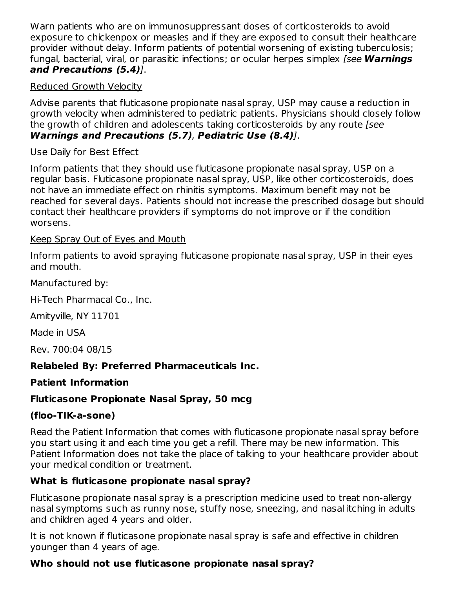Warn patients who are on immunosuppressant doses of corticosteroids to avoid exposure to chickenpox or measles and if they are exposed to consult their healthcare provider without delay. Inform patients of potential worsening of existing tuberculosis; fungal, bacterial, viral, or parasitic infections; or ocular herpes simplex [see **Warnings and Precautions (5.4)**].

### Reduced Growth Velocity

Advise parents that fluticasone propionate nasal spray, USP may cause a reduction in growth velocity when administered to pediatric patients. Physicians should closely follow the growth of children and adolescents taking corticosteroids by any route [see **Warnings and Precautions (5.7)**, **Pediatric Use (8.4)**].

### Use Daily for Best Effect

Inform patients that they should use fluticasone propionate nasal spray, USP on a regular basis. Fluticasone propionate nasal spray, USP, like other corticosteroids, does not have an immediate effect on rhinitis symptoms. Maximum benefit may not be reached for several days. Patients should not increase the prescribed dosage but should contact their healthcare providers if symptoms do not improve or if the condition worsens.

### Keep Spray Out of Eyes and Mouth

Inform patients to avoid spraying fluticasone propionate nasal spray, USP in their eyes and mouth.

Manufactured by:

Hi-Tech Pharmacal Co., Inc.

Amityville, NY 11701

Made in USA

Rev. 700:04 08/15

## **Relabeled By: Preferred Pharmaceuticals Inc.**

### **Patient Information**

### **Fluticasone Propionate Nasal Spray, 50 mcg**

### **(floo-TIK-a-sone)**

Read the Patient Information that comes with fluticasone propionate nasal spray before you start using it and each time you get a refill. There may be new information. This Patient Information does not take the place of talking to your healthcare provider about your medical condition or treatment.

## **What is fluticasone propionate nasal spray?**

Fluticasone propionate nasal spray is a prescription medicine used to treat non-allergy nasal symptoms such as runny nose, stuffy nose, sneezing, and nasal itching in adults and children aged 4 years and older.

It is not known if fluticasone propionate nasal spray is safe and effective in children younger than 4 years of age.

## **Who should not use fluticasone propionate nasal spray?**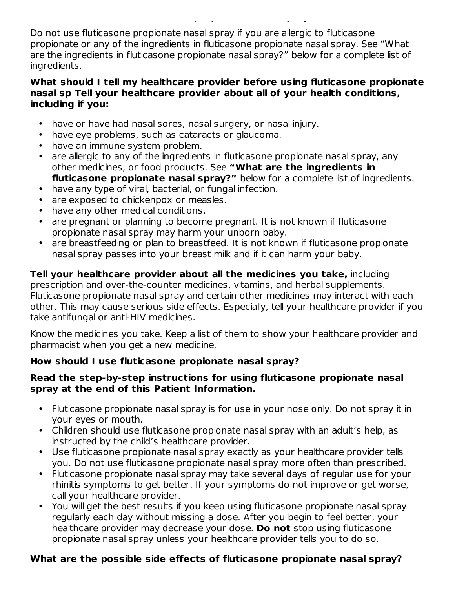Do not use fluticasone propionate nasal spray if you are allergic to fluticasone propionate or any of the ingredients in fluticasone propionate nasal spray. See "What are the ingredients in fluticasone propionate nasal spray?" below for a complete list of ingredients.

### **What should I tell my healthcare provider before using fluticasone propionate nasal sp Tell your healthcare provider about all of your health conditions, including if you:**

• have or have had nasal sores, nasal surgery, or nasal injury.

**Who should not use fluticasone propionate nasal spray?**

- have eye problems, such as cataracts or glaucoma.
- have an immune system problem.
- are allergic to any of the ingredients in fluticasone propionate nasal spray, any other medicines, or food products. See **"What are the ingredients in fluticasone propionate nasal spray?"** below for a complete list of ingredients.
- have any type of viral, bacterial, or fungal infection.
- are exposed to chickenpox or measles.
- have any other medical conditions.
- are pregnant or planning to become pregnant. It is not known if fluticasone propionate nasal spray may harm your unborn baby.
- are breastfeeding or plan to breastfeed. It is not known if fluticasone propionate nasal spray passes into your breast milk and if it can harm your baby.

**Tell your healthcare provider about all the medicines you take,** including prescription and over-the-counter medicines, vitamins, and herbal supplements. Fluticasone propionate nasal spray and certain other medicines may interact with each other. This may cause serious side effects. Especially, tell your healthcare provider if you take antifungal or anti-HIV medicines.

Know the medicines you take. Keep a list of them to show your healthcare provider and pharmacist when you get a new medicine.

# **How should I use fluticasone propionate nasal spray?**

### **Read the step-by-step instructions for using fluticasone propionate nasal spray at the end of this Patient Information.**

- Fluticasone propionate nasal spray is for use in your nose only. Do not spray it in your eyes or mouth.
- Children should use fluticasone propionate nasal spray with an adult's help, as instructed by the child's healthcare provider.
- Use fluticasone propionate nasal spray exactly as your healthcare provider tells you. Do not use fluticasone propionate nasal spray more often than prescribed.
- Fluticasone propionate nasal spray may take several days of regular use for your rhinitis symptoms to get better. If your symptoms do not improve or get worse, call your healthcare provider.
- You will get the best results if you keep using fluticasone propionate nasal spray regularly each day without missing a dose. After you begin to feel better, your healthcare provider may decrease your dose. **Do not** stop using fluticasone propionate nasal spray unless your healthcare provider tells you to do so.

# **What are the possible side effects of fluticasone propionate nasal spray?**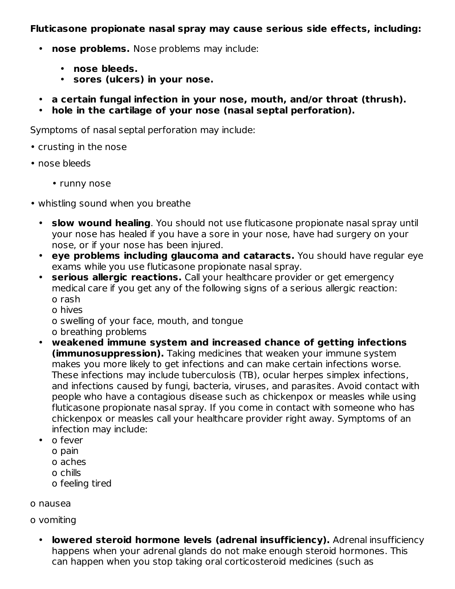**Fluticasone propionate nasal spray may cause serious side effects, including:**

- **nose problems.** Nose problems may include:
	- **nose bleeds.**
	- **sores (ulcers) in your nose.**
- **a certain fungal infection in your nose, mouth, and/or throat (thrush).**
- **hole in the cartilage of your nose (nasal septal perforation).**

Symptoms of nasal septal perforation may include:

- crusting in the nose
- nose bleeds
	- runny nose
- whistling sound when you breathe
	- **slow wound healing**. You should not use fluticasone propionate nasal spray until your nose has healed if you have a sore in your nose, have had surgery on your nose, or if your nose has been injured.
	- **eye problems including glaucoma and cataracts.** You should have regular eye exams while you use fluticasone propionate nasal spray.
	- **serious allergic reactions.** Call your healthcare provider or get emergency medical care if you get any of the following signs of a serious allergic reaction: o rash
		- o hives
		- o swelling of your face, mouth, and tongue
		- o breathing problems
	- **weakened immune system and increased chance of getting infections (immunosuppression).** Taking medicines that weaken your immune system makes you more likely to get infections and can make certain infections worse. These infections may include tuberculosis (TB), ocular herpes simplex infections, and infections caused by fungi, bacteria, viruses, and parasites. Avoid contact with people who have a contagious disease such as chickenpox or measles while using fluticasone propionate nasal spray. If you come in contact with someone who has chickenpox or measles call your healthcare provider right away. Symptoms of an infection may include:
	- o fever
		- o pain
		- o aches
		- o chills
		- o feeling tired
- o nausea
- o vomiting
	- **lowered steroid hormone levels (adrenal insufficiency).** Adrenal insufficiency happens when your adrenal glands do not make enough steroid hormones. This can happen when you stop taking oral corticosteroid medicines (such as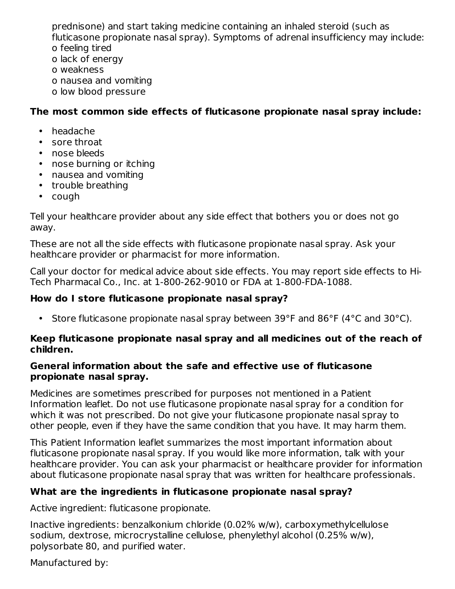prednisone) and start taking medicine containing an inhaled steroid (such as fluticasone propionate nasal spray). Symptoms of adrenal insufficiency may include: o feeling tired

- o lack of energy
- o weakness
- o nausea and vomiting
- o low blood pressure

## **The most common side effects of fluticasone propionate nasal spray include:**

- headache
- sore throat
- nose bleeds
- nose burning or itching
- nausea and vomiting
- trouble breathing
- cough

Tell your healthcare provider about any side effect that bothers you or does not go away.

These are not all the side effects with fluticasone propionate nasal spray. Ask your healthcare provider or pharmacist for more information.

Call your doctor for medical advice about side effects. You may report side effects to Hi-Tech Pharmacal Co., Inc. at 1-800-262-9010 or FDA at 1-800-FDA-1088.

## **How do I store fluticasone propionate nasal spray?**

• Store fluticasone propionate nasal spray between 39°F and 86°F (4°C and 30°C).

### **Keep fluticasone propionate nasal spray and all medicines out of the reach of children.**

### **General information about the safe and effective use of fluticasone propionate nasal spray.**

Medicines are sometimes prescribed for purposes not mentioned in a Patient Information leaflet. Do not use fluticasone propionate nasal spray for a condition for which it was not prescribed. Do not give your fluticasone propionate nasal spray to other people, even if they have the same condition that you have. It may harm them.

This Patient Information leaflet summarizes the most important information about fluticasone propionate nasal spray. If you would like more information, talk with your healthcare provider. You can ask your pharmacist or healthcare provider for information about fluticasone propionate nasal spray that was written for healthcare professionals.

# **What are the ingredients in fluticasone propionate nasal spray?**

Active ingredient: fluticasone propionate.

Inactive ingredients: benzalkonium chloride (0.02% w/w), carboxymethylcellulose sodium, dextrose, microcrystalline cellulose, phenylethyl alcohol (0.25% w/w), polysorbate 80, and purified water.

Manufactured by: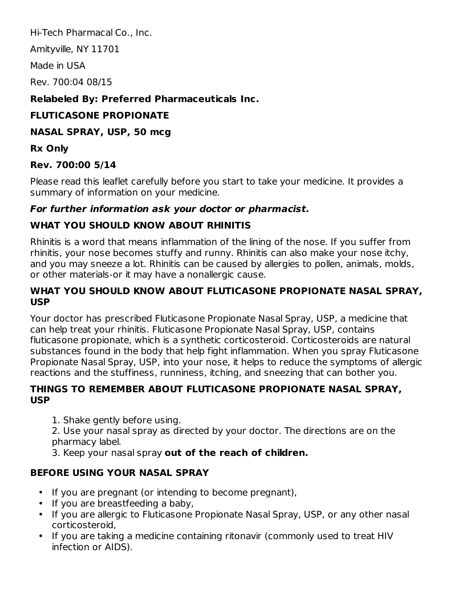Hi-Tech Pharmacal Co., Inc.

Amityville, NY 11701

Made in USA

Rev. 700:04 08/15

# **Relabeled By: Preferred Pharmaceuticals Inc.**

# **FLUTICASONE PROPIONATE**

**NASAL SPRAY, USP, 50 mcg**

# **Rx Only**

# **Rev. 700:00 5/14**

Please read this leaflet carefully before you start to take your medicine. It provides a summary of information on your medicine.

# **For further information ask your doctor or pharmacist.**

# **WHAT YOU SHOULD KNOW ABOUT RHINITIS**

Rhinitis is a word that means inflammation of the lining of the nose. If you suffer from rhinitis, your nose becomes stuffy and runny. Rhinitis can also make your nose itchy, and you may sneeze a lot. Rhinitis can be caused by allergies to pollen, animals, molds, or other materials-or it may have a nonallergic cause.

### **WHAT YOU SHOULD KNOW ABOUT FLUTICASONE PROPIONATE NASAL SPRAY, USP**

Your doctor has prescribed Fluticasone Propionate Nasal Spray, USP, a medicine that can help treat your rhinitis. Fluticasone Propionate Nasal Spray, USP, contains fluticasone propionate, which is a synthetic corticosteroid. Corticosteroids are natural substances found in the body that help fight inflammation. When you spray Fluticasone Propionate Nasal Spray, USP, into your nose, it helps to reduce the symptoms of allergic reactions and the stuffiness, runniness, itching, and sneezing that can bother you.

## **THINGS TO REMEMBER ABOUT FLUTICASONE PROPIONATE NASAL SPRAY, USP**

1. Shake gently before using.

2. Use your nasal spray as directed by your doctor. The directions are on the pharmacy label.

3. Keep your nasal spray **out of the reach of children.**

# **BEFORE USING YOUR NASAL SPRAY**

- If you are pregnant (or intending to become pregnant),
- If you are breastfeeding a baby,
- If you are allergic to Fluticasone Propionate Nasal Spray, USP, or any other nasal corticosteroid,
- If you are taking a medicine containing ritonavir (commonly used to treat HIV infection or AIDS).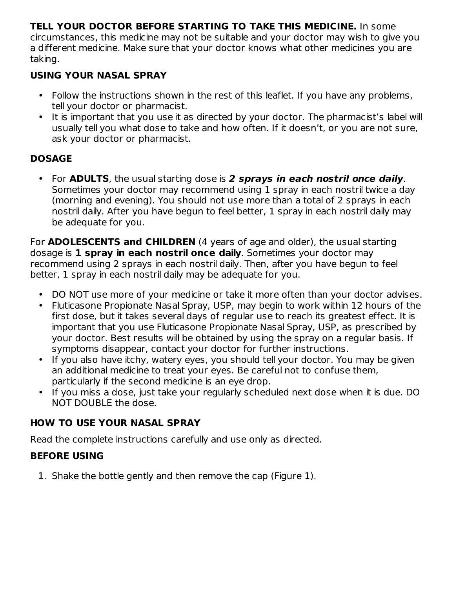#### **TELL YOUR DOCTOR BEFORE STARTING TO TAKE THIS MEDICINE.** In some circumstances, this medicine may not be suitable and your doctor may wish to give you a different medicine. Make sure that your doctor knows what other medicines you are taking.

### **USING YOUR NASAL SPRAY**

- Follow the instructions shown in the rest of this leaflet. If you have any problems, tell your doctor or pharmacist.
- It is important that you use it as directed by your doctor. The pharmacist's label will usually tell you what dose to take and how often. If it doesn't, or you are not sure, ask your doctor or pharmacist.

## **DOSAGE**

• For **ADULTS**, the usual starting dose is **2 sprays in each nostril once daily**. Sometimes your doctor may recommend using 1 spray in each nostril twice a day (morning and evening). You should not use more than a total of 2 sprays in each nostril daily. After you have begun to feel better, 1 spray in each nostril daily may be adequate for you.

For **ADOLESCENTS and CHILDREN** (4 years of age and older), the usual starting dosage is **1 spray in each nostril once daily**. Sometimes your doctor may recommend using 2 sprays in each nostril daily. Then, after you have begun to feel better, 1 spray in each nostril daily may be adequate for you.

- DO NOT use more of your medicine or take it more often than your doctor advises.
- $\bullet$ Fluticasone Propionate Nasal Spray, USP, may begin to work within 12 hours of the first dose, but it takes several days of regular use to reach its greatest effect. It is important that you use Fluticasone Propionate Nasal Spray, USP, as prescribed by your doctor. Best results will be obtained by using the spray on a regular basis. If symptoms disappear, contact your doctor for further instructions.
- If you also have itchy, watery eyes, you should tell your doctor. You may be given an additional medicine to treat your eyes. Be careful not to confuse them, particularly if the second medicine is an eye drop.
- If you miss a dose, just take your regularly scheduled next dose when it is due. DO NOT DOUBLE the dose.

## **HOW TO USE YOUR NASAL SPRAY**

Read the complete instructions carefully and use only as directed.

## **BEFORE USING**

1. Shake the bottle gently and then remove the cap (Figure 1).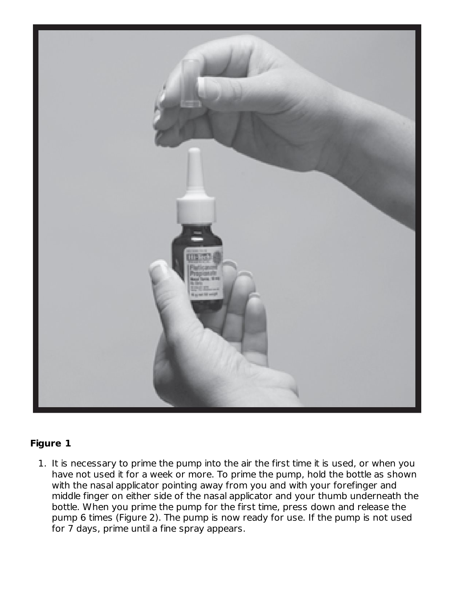

## **Figure 1**

1. It is necessary to prime the pump into the air the first time it is used, or when you have not used it for a week or more. To prime the pump, hold the bottle as shown with the nasal applicator pointing away from you and with your forefinger and middle finger on either side of the nasal applicator and your thumb underneath the bottle. When you prime the pump for the first time, press down and release the pump 6 times (Figure 2). The pump is now ready for use. If the pump is not used for 7 days, prime until a fine spray appears.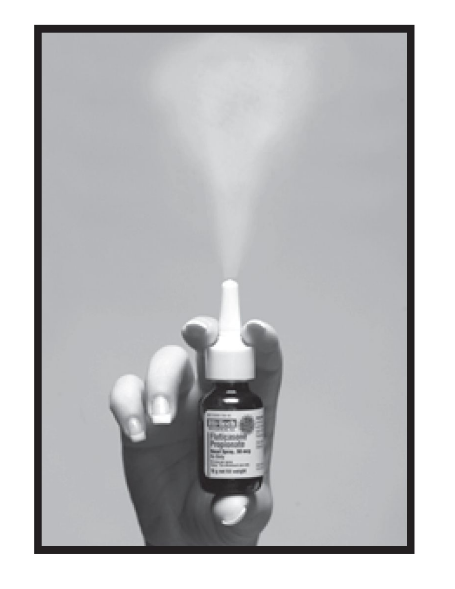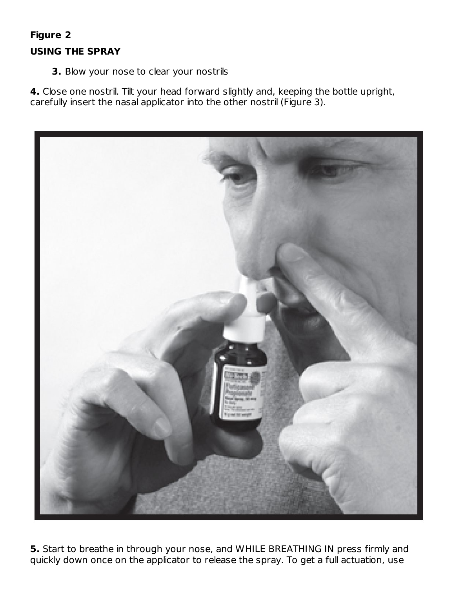# **Figure 2 USING THE SPRAY**

**3.** Blow your nose to clear your nostrils

**4.** Close one nostril. Tilt your head forward slightly and, keeping the bottle upright, carefully insert the nasal applicator into the other nostril (Figure 3).



**5.** Start to breathe in through your nose, and WHILE BREATHING IN press firmly and quickly down once on the applicator to release the spray. To get a full actuation, use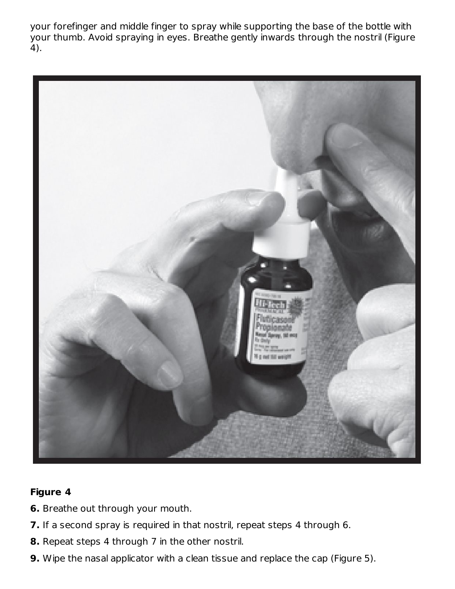your forefinger and middle finger to spray while supporting the base of the bottle with your thumb. Avoid spraying in eyes. Breathe gently inwards through the nostril (Figure 4).



## **Figure 4**

- **6.** Breathe out through your mouth.
- **7.** If a second spray is required in that nostril, repeat steps 4 through 6.
- **8.** Repeat steps 4 through 7 in the other nostril.
- **9.** Wipe the nasal applicator with a clean tissue and replace the cap (Figure 5).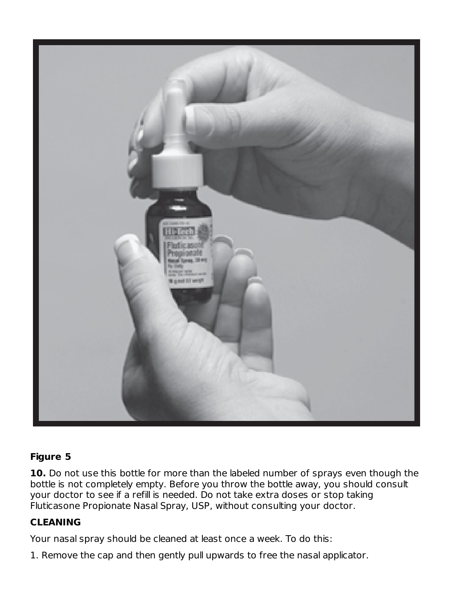

## **Figure 5**

**10.** Do not use this bottle for more than the labeled number of sprays even though the bottle is not completely empty. Before you throw the bottle away, you should consult your doctor to see if a refill is needed. Do not take extra doses or stop taking Fluticasone Propionate Nasal Spray, USP, without consulting your doctor.

### **CLEANING**

Your nasal spray should be cleaned at least once a week. To do this:

1. Remove the cap and then gently pull upwards to free the nasal applicator.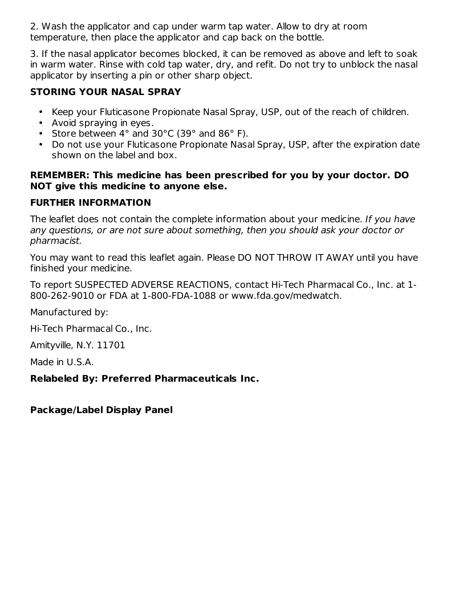2. Wash the applicator and cap under warm tap water. Allow to dry at room temperature, then place the applicator and cap back on the bottle.

3. If the nasal applicator becomes blocked, it can be removed as above and left to soak in warm water. Rinse with cold tap water, dry, and refit. Do not try to unblock the nasal applicator by inserting a pin or other sharp object.

## **STORING YOUR NASAL SPRAY**

- Keep your Fluticasone Propionate Nasal Spray, USP, out of the reach of children.
- Avoid spraying in eyes.
- Store between 4° and 30°C (39° and 86° F).
- Do not use your Fluticasone Propionate Nasal Spray, USP, after the expiration date shown on the label and box.

### **REMEMBER: This medicine has been prescribed for you by your doctor. DO NOT give this medicine to anyone else.**

## **FURTHER INFORMATION**

The leaflet does not contain the complete information about your medicine. If you have any questions, or are not sure about something, then you should ask your doctor or pharmacist.

You may want to read this leaflet again. Please DO NOT THROW IT AWAY until you have finished your medicine.

To report SUSPECTED ADVERSE REACTIONS, contact Hi-Tech Pharmacal Co., Inc. at 1- 800-262-9010 or FDA at 1-800-FDA-1088 or www.fda.gov/medwatch.

Manufactured by:

Hi-Tech Pharmacal Co., Inc.

Amityville, N.Y. 11701

Made in U.S.A.

## **Relabeled By: Preferred Pharmaceuticals Inc.**

**Package/Label Display Panel**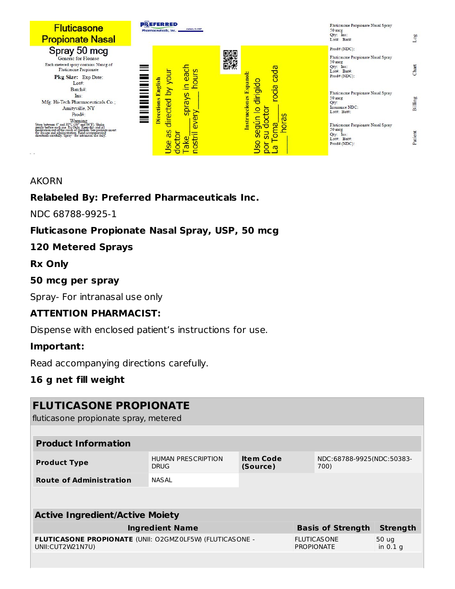| <b>Fluticasone</b><br><b>Propionate Nasal</b>                                                                                                                                                                                                                                                                                                                                                              | <b>PREFERRED</b><br>Anabelin, Ca 92007<br><b>Pharmaceuticals, Inc.</b>                                                                    | Fluticasone Propionate Nasal Spray<br>50 mcg<br>Qty: Ins:<br>Lot#: Bat#:                                 | Log     |
|------------------------------------------------------------------------------------------------------------------------------------------------------------------------------------------------------------------------------------------------------------------------------------------------------------------------------------------------------------------------------------------------------------|-------------------------------------------------------------------------------------------------------------------------------------------|----------------------------------------------------------------------------------------------------------|---------|
| Spray 50 mcg<br>Generic for Flonase<br>Each metered spray contains 50mcg of<br><b>Fluticasone Propionate</b><br>Pkg Size: Exp Date:<br>$Lot#$ :<br>Batch#:                                                                                                                                                                                                                                                 | пмг<br>cada<br>eacl<br><b>Non</b><br>hour<br>English<br>음                                                                                 | Prod# (NDC):<br>Fluticasone Propionate Nasal Spray<br>50 mcg<br>Qty: Ins:<br>Lot#: Bat#:<br>Prod# (NDC): | Chart   |
| Ins:<br>Mfg: Hi-Tech Pharmaceuticals Co.;<br>Amityville, NY<br>Prod#:                                                                                                                                                                                                                                                                                                                                      | Instrucciones Espanol:<br>dirigido<br>rocia<br><u>ig</u><br>sprays<br><b>Directions</b><br>directed<br>≣<br>$\overline{\circ}$<br>ğ<br>Sp | Fluticasone Propionate Nasal Spray<br>$50$ mcg<br>Qty:<br>Insurance NDC:<br>Lot#: Bat#:                  | Billing |
| $\begin{array}{l} \text{Sters between 4° and 30°C (Varring)}\\ \text{Sters between 4° and 30°C (59-30% of F), Sinkl} \\ \text{first distance out of the reach of children. See package insert for doesnze and computing the same value of the second accuracy.} \\ \text{for doscapsae and a more more than 10000.} \\ \text{the endoc, see that the second error is a more more than 10000.} \end{array}$ | seqún<br>႘<br>Sp<br>us<br>0<br><b>OS</b><br>9S<br>$\circ$<br>ᡴᠦ                                                                           | Fluticasone Propionate Nasal Spray<br>$50 \text{ mcg}$<br>Qty: Ins:<br>Lot#: Bat#:<br>Prod# (NDC):       | Patient |

### AKORN

### **Relabeled By: Preferred Pharmaceuticals Inc.**

NDC 68788-9925-1

### **Fluticasone Propionate Nasal Spray, USP, 50 mcg**

### **120 Metered Sprays**

**Rx Only**

### **50 mcg per spray**

Spray- For intranasal use only

### **ATTENTION PHARMACIST:**

Dispense with enclosed patient's instructions for use.

### **Important:**

Read accompanying directions carefully.

## **16 g net fill weight**

| <b>FLUTICASONE PROPIONATE</b>                                                 |                                          |                                         |                                   |                 |  |
|-------------------------------------------------------------------------------|------------------------------------------|-----------------------------------------|-----------------------------------|-----------------|--|
| fluticasone propionate spray, metered                                         |                                          |                                         |                                   |                 |  |
|                                                                               |                                          |                                         |                                   |                 |  |
| <b>Product Information</b>                                                    |                                          |                                         |                                   |                 |  |
| <b>Product Type</b>                                                           | <b>HUMAN PRESCRIPTION</b><br><b>DRUG</b> | <b>Item Code</b><br>(Source)            | NDC:68788-9925(NDC:50383-<br>700) |                 |  |
| <b>Route of Administration</b>                                                | NAS AI                                   |                                         |                                   |                 |  |
|                                                                               |                                          |                                         |                                   |                 |  |
|                                                                               |                                          |                                         |                                   |                 |  |
| <b>Active Ingredient/Active Moiety</b>                                        |                                          |                                         |                                   |                 |  |
| <b>Ingredient Name</b>                                                        |                                          |                                         | <b>Basis of Strength</b>          | <b>Strength</b> |  |
| FLUTICASONE PROPIONATE (UNII: 02GMZ0LF5W) (FLUTICASONE -<br>UNII: CUT2W21N7U) |                                          | <b>FLUTICASONE</b><br><b>PROPIONATE</b> | 50 ug<br>in $0.1$ q               |                 |  |
|                                                                               |                                          |                                         |                                   |                 |  |